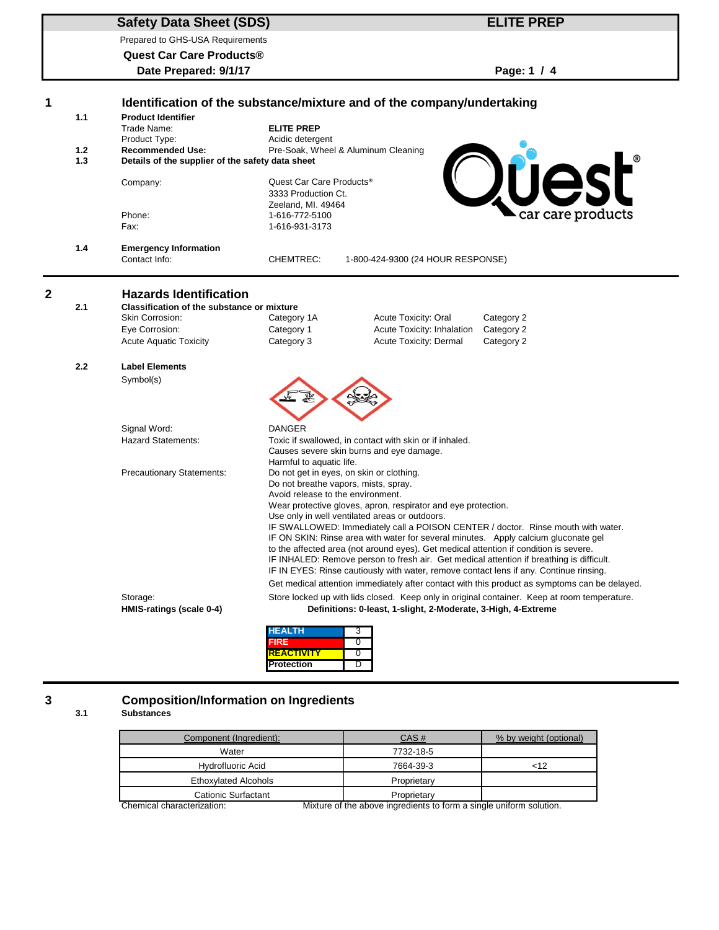## **Safety Data Sheet (SDS)**

Prepared to GHS-USA Requirements

**Quest Car Care Products®**

**Date Prepared: 9/1/17 Page: 1 / 4**

**ELITE PREP**

| 1              |                                                                                                                                                                                                       | Identification of the substance/mixture and of the company/undertaking |                                      |                                                                                                                 |                                                                                               |  |
|----------------|-------------------------------------------------------------------------------------------------------------------------------------------------------------------------------------------------------|------------------------------------------------------------------------|--------------------------------------|-----------------------------------------------------------------------------------------------------------------|-----------------------------------------------------------------------------------------------|--|
|                | 1.1                                                                                                                                                                                                   | <b>Product Identifier</b>                                              |                                      |                                                                                                                 |                                                                                               |  |
|                |                                                                                                                                                                                                       | Trade Name:                                                            | <b>ELITE PREP</b>                    |                                                                                                                 |                                                                                               |  |
|                |                                                                                                                                                                                                       | Product Type:                                                          | Acidic detergent                     |                                                                                                                 |                                                                                               |  |
|                | $1.2$                                                                                                                                                                                                 | <b>Recommended Use:</b>                                                |                                      | Pre-Soak, Wheel & Aluminum Cleaning                                                                             |                                                                                               |  |
|                | 1.3                                                                                                                                                                                                   | Details of the supplier of the safety data sheet                       |                                      |                                                                                                                 |                                                                                               |  |
|                |                                                                                                                                                                                                       | Company:                                                               | Quest Car Care Products <sup>®</sup> |                                                                                                                 | Quest                                                                                         |  |
|                |                                                                                                                                                                                                       |                                                                        | 3333 Production Ct.                  |                                                                                                                 |                                                                                               |  |
|                |                                                                                                                                                                                                       |                                                                        | Zeeland, MI. 49464                   |                                                                                                                 |                                                                                               |  |
|                |                                                                                                                                                                                                       | Phone:                                                                 | 1-616-772-5100                       |                                                                                                                 | car care products                                                                             |  |
|                |                                                                                                                                                                                                       | Fax:                                                                   | 1-616-931-3173                       |                                                                                                                 |                                                                                               |  |
|                | 1.4                                                                                                                                                                                                   | <b>Emergency Information</b>                                           |                                      |                                                                                                                 |                                                                                               |  |
|                |                                                                                                                                                                                                       | Contact Info:                                                          | CHEMTREC:                            | 1-800-424-9300 (24 HOUR RESPONSE)                                                                               |                                                                                               |  |
|                |                                                                                                                                                                                                       |                                                                        |                                      |                                                                                                                 |                                                                                               |  |
| $\overline{2}$ |                                                                                                                                                                                                       | <b>Hazards Identification</b>                                          |                                      |                                                                                                                 |                                                                                               |  |
|                | 2.1                                                                                                                                                                                                   | Classification of the substance or mixture                             |                                      |                                                                                                                 |                                                                                               |  |
|                |                                                                                                                                                                                                       | Skin Corrosion:                                                        | Category 1A                          | Acute Toxicity: Oral                                                                                            | Category 2                                                                                    |  |
|                |                                                                                                                                                                                                       | Eye Corrosion:                                                         | Category 1                           | Acute Toxicity: Inhalation                                                                                      | Category 2                                                                                    |  |
|                |                                                                                                                                                                                                       | <b>Acute Aquatic Toxicity</b>                                          | Category 3                           | <b>Acute Toxicity: Dermal</b>                                                                                   | Category 2                                                                                    |  |
|                | 2.2                                                                                                                                                                                                   | <b>Label Elements</b>                                                  |                                      |                                                                                                                 |                                                                                               |  |
|                |                                                                                                                                                                                                       | Symbol(s)                                                              |                                      |                                                                                                                 |                                                                                               |  |
|                |                                                                                                                                                                                                       |                                                                        |                                      |                                                                                                                 |                                                                                               |  |
|                |                                                                                                                                                                                                       | Signal Word:                                                           | <b>DANGER</b>                        |                                                                                                                 |                                                                                               |  |
|                |                                                                                                                                                                                                       | <b>Hazard Statements:</b>                                              |                                      | Toxic if swallowed, in contact with skin or if inhaled.                                                         |                                                                                               |  |
|                |                                                                                                                                                                                                       |                                                                        |                                      | Causes severe skin burns and eye damage.                                                                        |                                                                                               |  |
|                |                                                                                                                                                                                                       |                                                                        | Harmful to aquatic life.             |                                                                                                                 |                                                                                               |  |
|                |                                                                                                                                                                                                       | <b>Precautionary Statements:</b>                                       |                                      | Do not get in eyes, on skin or clothing.                                                                        |                                                                                               |  |
|                |                                                                                                                                                                                                       |                                                                        | Do not breathe vapors, mists, spray. |                                                                                                                 |                                                                                               |  |
|                |                                                                                                                                                                                                       |                                                                        | Avoid release to the environment.    |                                                                                                                 |                                                                                               |  |
|                |                                                                                                                                                                                                       |                                                                        |                                      | Wear protective gloves, apron, respirator and eye protection.<br>Use only in well ventilated areas or outdoors. |                                                                                               |  |
|                |                                                                                                                                                                                                       |                                                                        |                                      |                                                                                                                 | IF SWALLOWED: Immediately call a POISON CENTER / doctor. Rinse mouth with water.              |  |
|                |                                                                                                                                                                                                       |                                                                        |                                      | IF ON SKIN: Rinse area with water for several minutes. Apply calcium gluconate gel                              |                                                                                               |  |
|                |                                                                                                                                                                                                       |                                                                        |                                      | to the affected area (not around eyes). Get medical attention if condition is severe.                           |                                                                                               |  |
|                |                                                                                                                                                                                                       |                                                                        |                                      | IF INHALED: Remove person to fresh air. Get medical attention if breathing is difficult.                        |                                                                                               |  |
|                |                                                                                                                                                                                                       |                                                                        |                                      | IF IN EYES: Rinse cautiously with water, remove contact lens if any. Continue rinsing.                          |                                                                                               |  |
|                |                                                                                                                                                                                                       |                                                                        |                                      |                                                                                                                 | Get medical attention immediately after contact with this product as symptoms can be delayed. |  |
|                | Storage:<br>Store locked up with lids closed. Keep only in original container. Keep at room temperature.<br>HMIS-ratings (scale 0-4)<br>Definitions: 0-least, 1-slight, 2-Moderate, 3-High, 4-Extreme |                                                                        |                                      |                                                                                                                 |                                                                                               |  |
|                |                                                                                                                                                                                                       |                                                                        | <b>HEALTH</b>                        | 3                                                                                                               |                                                                                               |  |
|                |                                                                                                                                                                                                       |                                                                        | FIRE                                 | 0                                                                                                               |                                                                                               |  |
|                |                                                                                                                                                                                                       |                                                                        | REACTIVITY                           |                                                                                                                 |                                                                                               |  |

**REACTIVITY** 0 **Protection** D

# **3 Composition/Information on Ingredients**

#### **3.1 Substances**

| Component (Ingredient):      | CAS#                                                                                   | % by weight (optional) |
|------------------------------|----------------------------------------------------------------------------------------|------------------------|
| Water                        | 7732-18-5                                                                              |                        |
| Hydrofluoric Acid            | 7664-39-3                                                                              | $<$ 12                 |
| <b>Ethoxylated Alcohols</b>  | Proprietary                                                                            |                        |
| Cationic Surfactant          | Proprietary                                                                            |                        |
| Oh special absolute distinct | Militarian ng titon ng karing itong alipata ta dagaan ng aingala rinitagaan ng litalan |                        |

Chemical characterization: Mixture of the above ingredients to form a single uniform solution.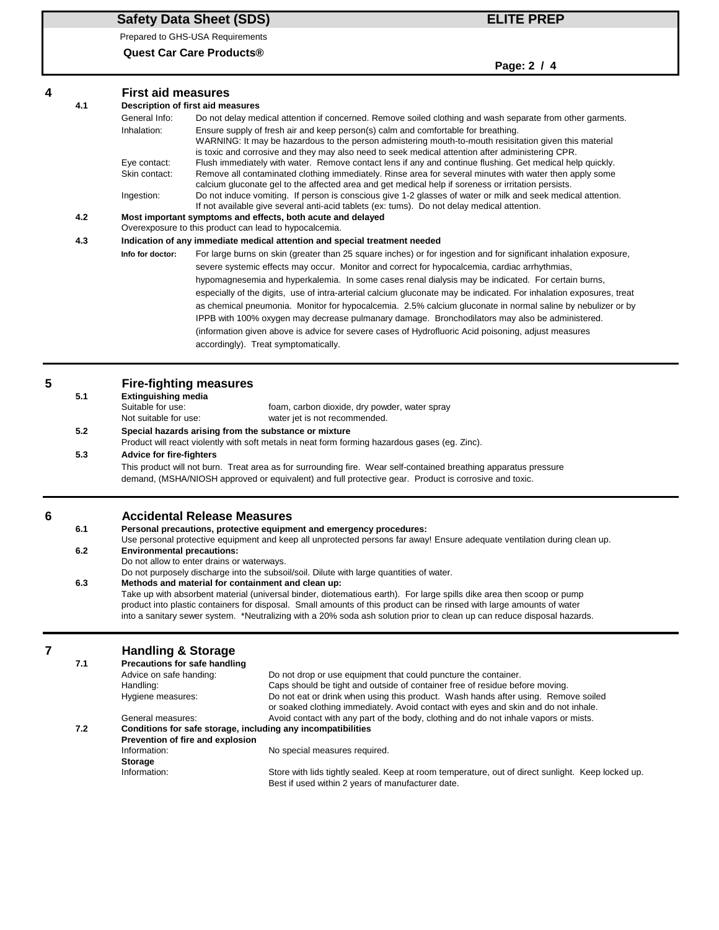# **Safety Data Sheet (SDS) ELITE PREP**

Prepared to GHS-USA Requirements

**Quest Car Care Products®**

-

**Page: 2 / 4**

|   |     |                                                                                                                                                                                                                                                  | . ugu. <i>2 .</i> 7                                                                                                                                                                                                                                                                                                                                                                                                             |  |  |  |  |
|---|-----|--------------------------------------------------------------------------------------------------------------------------------------------------------------------------------------------------------------------------------------------------|---------------------------------------------------------------------------------------------------------------------------------------------------------------------------------------------------------------------------------------------------------------------------------------------------------------------------------------------------------------------------------------------------------------------------------|--|--|--|--|
| 4 |     | <b>First aid measures</b>                                                                                                                                                                                                                        |                                                                                                                                                                                                                                                                                                                                                                                                                                 |  |  |  |  |
|   | 4.1 |                                                                                                                                                                                                                                                  | Description of first aid measures                                                                                                                                                                                                                                                                                                                                                                                               |  |  |  |  |
|   |     | General Info:<br>Inhalation:                                                                                                                                                                                                                     | Do not delay medical attention if concerned. Remove soiled clothing and wash separate from other garments.<br>Ensure supply of fresh air and keep person(s) calm and comfortable for breathing.<br>WARNING: It may be hazardous to the person admistering mouth-to-mouth resisitation given this material                                                                                                                       |  |  |  |  |
|   |     | Eye contact:<br>Skin contact:                                                                                                                                                                                                                    | is toxic and corrosive and they may also need to seek medical attention after administering CPR.<br>Flush immediately with water. Remove contact lens if any and continue flushing. Get medical help quickly.<br>Remove all contaminated clothing immediately. Rinse area for several minutes with water then apply some<br>calcium gluconate gel to the affected area and get medical help if soreness or irritation persists. |  |  |  |  |
|   |     | Ingestion:                                                                                                                                                                                                                                       | Do not induce vomiting. If person is conscious give 1-2 glasses of water or milk and seek medical attention.<br>If not available give several anti-acid tablets (ex: tums). Do not delay medical attention.                                                                                                                                                                                                                     |  |  |  |  |
|   | 4.2 | Most important symptoms and effects, both acute and delayed<br>Overexposure to this product can lead to hypocalcemia.                                                                                                                            |                                                                                                                                                                                                                                                                                                                                                                                                                                 |  |  |  |  |
|   | 4.3 |                                                                                                                                                                                                                                                  | Indication of any immediate medical attention and special treatment needed                                                                                                                                                                                                                                                                                                                                                      |  |  |  |  |
|   |     | Info for doctor:                                                                                                                                                                                                                                 | For large burns on skin (greater than 25 square inches) or for ingestion and for significant inhalation exposure,<br>severe systemic effects may occur. Monitor and correct for hypocalcemia, cardiac arrhythmias,                                                                                                                                                                                                              |  |  |  |  |
|   |     |                                                                                                                                                                                                                                                  | hypomagnesemia and hyperkalemia. In some cases renal dialysis may be indicated. For certain burns,<br>especially of the digits, use of intra-arterial calcium gluconate may be indicated. For inhalation exposures, treat                                                                                                                                                                                                       |  |  |  |  |
|   |     |                                                                                                                                                                                                                                                  | as chemical pneumonia. Monitor for hypocalcemia. 2.5% calcium gluconate in normal saline by nebulizer or by                                                                                                                                                                                                                                                                                                                     |  |  |  |  |
|   |     |                                                                                                                                                                                                                                                  | IPPB with 100% oxygen may decrease pulmanary damage. Bronchodilators may also be administered.                                                                                                                                                                                                                                                                                                                                  |  |  |  |  |
|   |     |                                                                                                                                                                                                                                                  | (information given above is advice for severe cases of Hydrofluoric Acid poisoning, adjust measures                                                                                                                                                                                                                                                                                                                             |  |  |  |  |
|   |     |                                                                                                                                                                                                                                                  | accordingly). Treat symptomatically.                                                                                                                                                                                                                                                                                                                                                                                            |  |  |  |  |
| 5 |     |                                                                                                                                                                                                                                                  | <b>Fire-fighting measures</b>                                                                                                                                                                                                                                                                                                                                                                                                   |  |  |  |  |
|   | 5.1 | <b>Extinguishing media</b><br>Suitable for use:<br>foam, carbon dioxide, dry powder, water spray                                                                                                                                                 |                                                                                                                                                                                                                                                                                                                                                                                                                                 |  |  |  |  |
|   | 5.2 | Not suitable for use:<br>water jet is not recommended.<br>Special hazards arising from the substance or mixture                                                                                                                                  |                                                                                                                                                                                                                                                                                                                                                                                                                                 |  |  |  |  |
|   |     | Product will react violently with soft metals in neat form forming hazardous gases (eg. Zinc).                                                                                                                                                   |                                                                                                                                                                                                                                                                                                                                                                                                                                 |  |  |  |  |
|   | 5.3 | <b>Advice for fire-fighters</b><br>This product will not burn. Treat area as for surrounding fire. Wear self-contained breathing apparatus pressure                                                                                              |                                                                                                                                                                                                                                                                                                                                                                                                                                 |  |  |  |  |
|   |     | demand, (MSHA/NIOSH approved or equivalent) and full protective gear. Product is corrosive and toxic.                                                                                                                                            |                                                                                                                                                                                                                                                                                                                                                                                                                                 |  |  |  |  |
| 6 |     |                                                                                                                                                                                                                                                  | <b>Accidental Release Measures</b>                                                                                                                                                                                                                                                                                                                                                                                              |  |  |  |  |
|   | 6.1 | Personal precautions, protective equipment and emergency procedures:                                                                                                                                                                             |                                                                                                                                                                                                                                                                                                                                                                                                                                 |  |  |  |  |
|   | 6.2 | Use personal protective equipment and keep all unprotected persons far away! Ensure adequate ventilation during clean up.<br><b>Environmental precautions:</b>                                                                                   |                                                                                                                                                                                                                                                                                                                                                                                                                                 |  |  |  |  |
|   |     | Do not allow to enter drains or waterways.                                                                                                                                                                                                       |                                                                                                                                                                                                                                                                                                                                                                                                                                 |  |  |  |  |
|   | 6.3 | Do not purposely discharge into the subsoil/soil. Dilute with large quantities of water.<br>Methods and material for containment and clean up:                                                                                                   |                                                                                                                                                                                                                                                                                                                                                                                                                                 |  |  |  |  |
|   |     | Take up with absorbent material (universal binder, diotematious earth). For large spills dike area then scoop or pump                                                                                                                            |                                                                                                                                                                                                                                                                                                                                                                                                                                 |  |  |  |  |
|   |     | product into plastic containers for disposal. Small amounts of this product can be rinsed with large amounts of water<br>into a sanitary sewer system. *Neutralizing with a 20% soda ash solution prior to clean up can reduce disposal hazards. |                                                                                                                                                                                                                                                                                                                                                                                                                                 |  |  |  |  |
|   |     |                                                                                                                                                                                                                                                  |                                                                                                                                                                                                                                                                                                                                                                                                                                 |  |  |  |  |
| 7 | 7.1 | <b>Handling &amp; Storage</b><br>Precautions for safe handling                                                                                                                                                                                   |                                                                                                                                                                                                                                                                                                                                                                                                                                 |  |  |  |  |
|   |     | Advice on safe handing:                                                                                                                                                                                                                          | Do not drop or use equipment that could puncture the container.                                                                                                                                                                                                                                                                                                                                                                 |  |  |  |  |
|   |     | Handling:                                                                                                                                                                                                                                        | Caps should be tight and outside of container free of residue before moving.                                                                                                                                                                                                                                                                                                                                                    |  |  |  |  |
|   |     | Hygiene measures:                                                                                                                                                                                                                                | Do not eat or drink when using this product. Wash hands after using. Remove soiled<br>or soaked clothing immediately. Avoid contact with eyes and skin and do not inhale.                                                                                                                                                                                                                                                       |  |  |  |  |
|   |     | General measures:                                                                                                                                                                                                                                | Avoid contact with any part of the body, clothing and do not inhale vapors or mists.                                                                                                                                                                                                                                                                                                                                            |  |  |  |  |
|   | 7.2 |                                                                                                                                                                                                                                                  | Conditions for safe storage, including any incompatibilities<br>Prevention of fire and explosion                                                                                                                                                                                                                                                                                                                                |  |  |  |  |
|   |     | Information:                                                                                                                                                                                                                                     | No special measures required.                                                                                                                                                                                                                                                                                                                                                                                                   |  |  |  |  |
|   |     | <b>Storage</b><br>Information:                                                                                                                                                                                                                   | Store with lids tightly sealed. Keep at room temperature, out of direct sunlight. Keep locked up.<br>Best if used within 2 years of manufacturer date.                                                                                                                                                                                                                                                                          |  |  |  |  |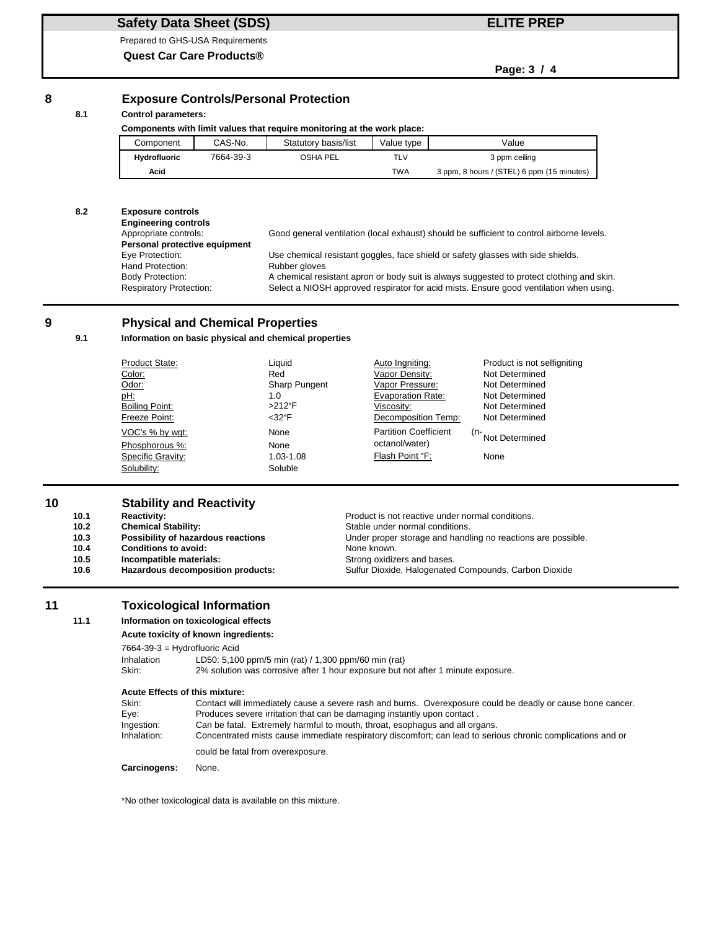### **Safety Data Sheet (SDS)**

Prepared to GHS-USA Requirements

**Quest Car Care Products®**

### **ELITE PREP**

**Page: 3 / 4**

#### **8 Exposure Controls/Personal Protection**

#### **8.1 Control parameters:**

| Components with limit values that require monitoring at the work place: |           |                      |            |                                            |
|-------------------------------------------------------------------------|-----------|----------------------|------------|--------------------------------------------|
| Component                                                               | CAS-No.   | Statutory basis/list | Value type | Value                                      |
| <b>Hydrofluoric</b>                                                     | 7664-39-3 | <b>OSHA PEL</b>      | TLV        | 3 ppm ceiling                              |
| Acid                                                                    |           |                      | <b>TWA</b> | 3 ppm, 8 hours / (STEL) 6 ppm (15 minutes) |

#### **8.2 Exposure controls**

**Engineering controls Personal protective equipment**<br>Eye Protection: Hand Protection: Rubber gloves<br>
Body Protection: A chemical res

Appropriate controls: Good general ventilation (local exhaust) should be sufficient to control airborne levels.

Use chemical resistant goggles, face shield or safety glasses with side shields. A chemical resistant apron or body suit is always suggested to protect clothing and skin. Respiratory Protection: Select a NIOSH approved respirator for acid mists. Ensure good ventilation when using.

#### **9 Physical and Chemical Properties**

#### **9.1 Information on basic physical and chemical properties**

| Product State:    | Liauid               | Auto Ingniting:              | Product is not selfigniting   |
|-------------------|----------------------|------------------------------|-------------------------------|
| Color:            | Red                  | Vapor Density:               | Not Determined                |
| Odor:             | <b>Sharp Pungent</b> | Vapor Pressure:              | Not Determined                |
| <u>pH:</u>        | 1.0                  | <b>Evaporation Rate:</b>     | Not Determined                |
| Boiling Point:    | $>212$ °F            | Viscosity:                   | Not Determined                |
| Freeze Point:     | $<$ 32°F             | Decomposition Temp:          | Not Determined                |
| VOC's % by wat:   | None                 | <b>Partition Coefficient</b> | <sup>(n-</sup> Not Determined |
| Phosphorous %:    | None                 | octanol/water)               |                               |
| Specific Gravity: | 1.03-1.08            | Flash Point °F:              | None                          |
| Solubility:       | Soluble              |                              |                               |
|                   |                      |                              |                               |

#### **10 Stability and Reactivity**

| 10.1              | <b>Reactivity:</b>                 | Product is not reactive under normal conditions.             |
|-------------------|------------------------------------|--------------------------------------------------------------|
| 10.2 <sub>1</sub> | <b>Chemical Stability:</b>         | Stable under normal conditions.                              |
| 10.3              | Possibility of hazardous reactions | Under proper storage and handling no reactions are possible. |
| 10.4              | <b>Conditions to avoid:</b>        | None known.                                                  |
| 10.5              | Incompatible materials:            | Strong oxidizers and bases.                                  |
| 10.6              | Hazardous decomposition products:  | Sulfur Dioxide, Halogenated Compounds, Carbon Dioxide        |

#### **11 Toxicological Information**

#### **11.1 Information on toxicological effects**

#### **Acute toxicity of known ingredients:**

7664-39-3 = Hydrofluoric Acid

Inhalation LD50: 5,100 ppm/5 min (rat) / 1,300 ppm/60 min (rat) Skin: 2% solution was corrosive after 1 hour exposure but not after 1 minute exposure.

#### **Acute Effects of this mixture:**

| Skin:        | Contact will immediately cause a severe rash and burns. Overexposure could be deadly or cause bone cancer.  |
|--------------|-------------------------------------------------------------------------------------------------------------|
| Eve:         | Produces severe irritation that can be damaging instantly upon contact.                                     |
| Ingestion:   | Can be fatal. Extremely harmful to mouth, throat, esophagus and all organs.                                 |
| Inhalation:  | Concentrated mists cause immediate respiratory discomfort; can lead to serious chronic complications and or |
|              | could be fatal from overexposure.                                                                           |
| Carcinogens: | None.                                                                                                       |

\*No other toxicological data is available on this mixture.